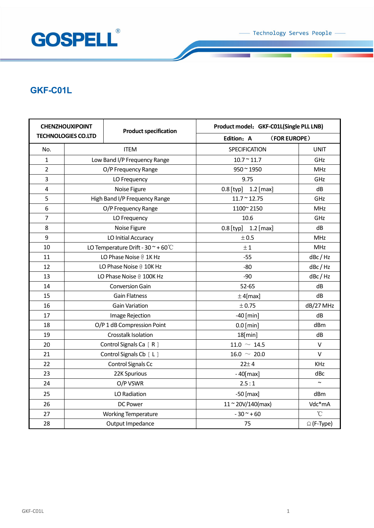

## **GKF-C01L**

| <b>CHENZHOUXIPOINT</b>     |                                          | <b>Product specification</b> | Product model: GKF-C01L(Single PLL LNB)   |                      |
|----------------------------|------------------------------------------|------------------------------|-------------------------------------------|----------------------|
| <b>TECHNOLOGIES CO.LTD</b> |                                          |                              | Edition: A                                | (FOR EUROPE)         |
| No.                        |                                          | <b>ITEM</b>                  | SPECIFICATION                             | <b>UNIT</b>          |
| $\mathbf{1}$               | Low Band I/P Frequency Range             |                              | $10.7 \text{ }^{\sim} 11.7$               | GHz                  |
| $\overline{2}$             | O/P Frequency Range                      |                              | $950 - 1950$                              | <b>MHz</b>           |
| 3                          | LO Frequency                             |                              | 9.75                                      | GHz                  |
| $\overline{\mathbf{4}}$    | Noise Figure                             |                              | $0.8$ [typ] 1.2 [max]                     | dB                   |
| 5                          | High Band I/P Frequency Range            |                              | $11.7 \text{ }^{\sim} 12.75$              | GHz                  |
| 6                          | O/P Frequency Range                      |                              | 1100~2150                                 | <b>MHz</b>           |
| $\overline{7}$             | LO Frequency                             |                              | 10.6                                      | GHz                  |
| 8                          | Noise Figure                             |                              | $0.8$ [typ] 1.2 [max]                     | dB                   |
| 9                          | LO Initial Accuracy                      |                              | $\pm$ 0.5                                 | <b>MHz</b>           |
| 10                         | LO Temperature Drift - 30 $\sim$ + 60 °C |                              | ± 1                                       | <b>MHz</b>           |
| 11                         | LO Phase Noise @ 1K Hz                   |                              | $-55$                                     | dBc / Hz             |
| 12                         | LO Phase Noise @ 10K Hz                  |                              | $-80$                                     | dBc / Hz             |
| 13                         | LO Phase Noise @ 100K Hz                 |                              | $-90$                                     | dBc / Hz             |
| 14                         |                                          | <b>Conversion Gain</b>       | $52 - 65$                                 | dB                   |
| 15                         | <b>Gain Flatness</b>                     |                              | $±$ 4[max]                                | dB                   |
| 16                         |                                          | <b>Gain Variation</b>        | $\pm$ 0.75                                | dB/27 MHz            |
| 17                         | Image Rejection                          |                              | $-40$ [min]                               | dB                   |
| 18                         |                                          | O/P 1 dB Compression Point   | $0.0$ [min]                               | dBm                  |
| 19                         |                                          | Crosstalk Isolation          | $18$ [min]                                | dB                   |
| 20                         | Control Signals Ca [ R ]                 |                              | $11.0 \sim 14.5$                          | $\mathsf{V}$         |
| 21                         | Control Signals Cb [ L ]                 |                              | $16.0 \sim 20.0$                          | V                    |
| 22                         | Control Signals Cc                       |                              | $22 + 4$                                  | <b>KHz</b>           |
| 23                         | 22K Spurious                             |                              | $-40$ [max]                               | dBc                  |
| 24                         | O/P VSWR                                 |                              | 2.5:1                                     | $\sim$               |
| 25                         | LO Radiation                             |                              | $-50$ [max]                               | dBm                  |
| 26                         | DC Power                                 |                              | $11 \text{~}20 \text{V}/140 \text{(max)}$ | Vdc*mA               |
| 27                         | <b>Working Temperature</b>               |                              | $-30 - +60$                               | $\mathrm{C}^{\circ}$ |
| 28                         |                                          | Output Impedance             | 75                                        | $\Omega$ (F-Type)    |